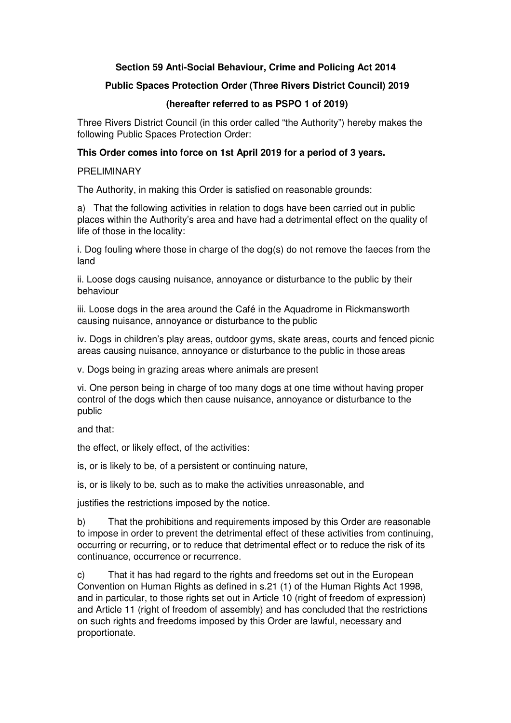# **Section 59 Anti-Social Behaviour, Crime and Policing Act 2014**

# **Public Spaces Protection Order (Three Rivers District Council) 2019**

# **(hereafter referred to as PSPO 1 of 2019)**

Three Rivers District Council (in this order called "the Authority") hereby makes the following Public Spaces Protection Order:

# **This Order comes into force on 1st April 2019 for a period of 3 years.**

#### PRELIMINARY

The Authority, in making this Order is satisfied on reasonable grounds:

a) That the following activities in relation to dogs have been carried out in public places within the Authority's area and have had a detrimental effect on the quality of life of those in the locality:

i. Dog fouling where those in charge of the dog(s) do not remove the faeces from the land

ii. Loose dogs causing nuisance, annoyance or disturbance to the public by their behaviour

iii. Loose dogs in the area around the Café in the Aquadrome in Rickmansworth causing nuisance, annoyance or disturbance to the public

iv. Dogs in children's play areas, outdoor gyms, skate areas, courts and fenced picnic areas causing nuisance, annoyance or disturbance to the public in those areas

v. Dogs being in grazing areas where animals are present

vi. One person being in charge of too many dogs at one time without having proper control of the dogs which then cause nuisance, annoyance or disturbance to the public

and that:

the effect, or likely effect, of the activities:

is, or is likely to be, of a persistent or continuing nature,

is, or is likely to be, such as to make the activities unreasonable, and

justifies the restrictions imposed by the notice.

b) That the prohibitions and requirements imposed by this Order are reasonable to impose in order to prevent the detrimental effect of these activities from continuing, occurring or recurring, or to reduce that detrimental effect or to reduce the risk of its continuance, occurrence or recurrence.

c) That it has had regard to the rights and freedoms set out in the European Convention on Human Rights as defined in s.21 (1) of the Human Rights Act 1998, and in particular, to those rights set out in Article 10 (right of freedom of expression) and Article 11 (right of freedom of assembly) and has concluded that the restrictions on such rights and freedoms imposed by this Order are lawful, necessary and proportionate.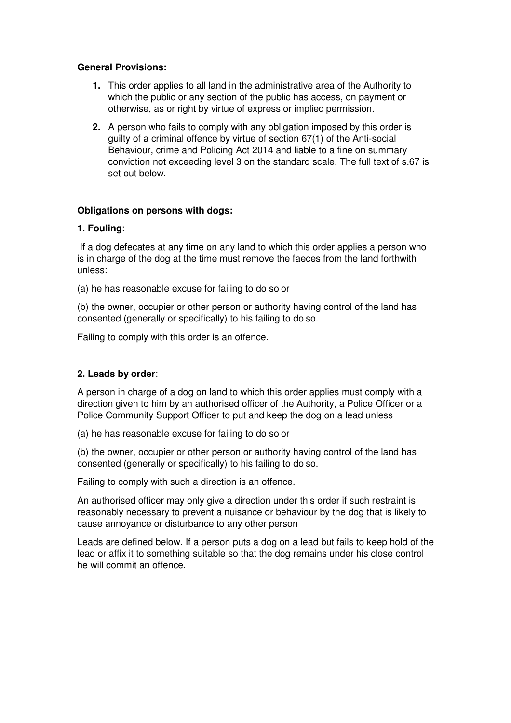## **General Provisions:**

- **1.** This order applies to all land in the administrative area of the Authority to which the public or any section of the public has access, on payment or otherwise, as or right by virtue of express or implied permission.
- **2.** A person who fails to comply with any obligation imposed by this order is guilty of a criminal offence by virtue of section 67(1) of the Anti-social Behaviour, crime and Policing Act 2014 and liable to a fine on summary conviction not exceeding level 3 on the standard scale. The full text of s.67 is set out below.

## **Obligations on persons with dogs:**

## **1. Fouling**:

If a dog defecates at any time on any land to which this order applies a person who is in charge of the dog at the time must remove the faeces from the land forthwith unless:

(a) he has reasonable excuse for failing to do so or

(b) the owner, occupier or other person or authority having control of the land has consented (generally or specifically) to his failing to do so.

Failing to comply with this order is an offence.

# **2. Leads by order**:

A person in charge of a dog on land to which this order applies must comply with a direction given to him by an authorised officer of the Authority, a Police Officer or a Police Community Support Officer to put and keep the dog on a lead unless

(a) he has reasonable excuse for failing to do so or

(b) the owner, occupier or other person or authority having control of the land has consented (generally or specifically) to his failing to do so.

Failing to comply with such a direction is an offence.

An authorised officer may only give a direction under this order if such restraint is reasonably necessary to prevent a nuisance or behaviour by the dog that is likely to cause annoyance or disturbance to any other person

Leads are defined below. If a person puts a dog on a lead but fails to keep hold of the lead or affix it to something suitable so that the dog remains under his close control he will commit an offence.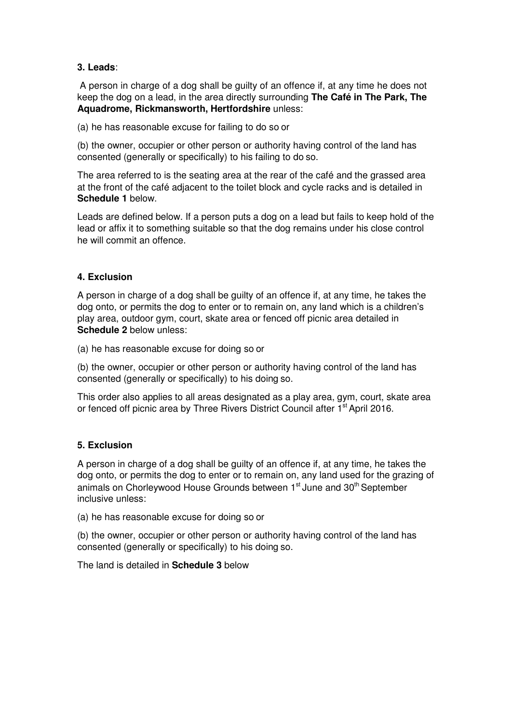## **3. Leads**:

A person in charge of a dog shall be guilty of an offence if, at any time he does not keep the dog on a lead, in the area directly surrounding **The Café in The Park, The Aquadrome, Rickmansworth, Hertfordshire** unless:

(a) he has reasonable excuse for failing to do so or

(b) the owner, occupier or other person or authority having control of the land has consented (generally or specifically) to his failing to do so.

The area referred to is the seating area at the rear of the café and the grassed area at the front of the café adjacent to the toilet block and cycle racks and is detailed in **Schedule 1** below.

Leads are defined below. If a person puts a dog on a lead but fails to keep hold of the lead or affix it to something suitable so that the dog remains under his close control he will commit an offence.

# **4. Exclusion**

A person in charge of a dog shall be guilty of an offence if, at any time, he takes the dog onto, or permits the dog to enter or to remain on, any land which is a children's play area, outdoor gym, court, skate area or fenced off picnic area detailed in **Schedule 2** below unless:

(a) he has reasonable excuse for doing so or

(b) the owner, occupier or other person or authority having control of the land has consented (generally or specifically) to his doing so.

This order also applies to all areas designated as a play area, gym, court, skate area or fenced off picnic area by Three Rivers District Council after 1<sup>st</sup> April 2016.

# **5. Exclusion**

A person in charge of a dog shall be guilty of an offence if, at any time, he takes the dog onto, or permits the dog to enter or to remain on, any land used for the grazing of animals on Chorleywood House Grounds between 1<sup>st</sup> June and 30<sup>th</sup> September inclusive unless:

(a) he has reasonable excuse for doing so or

(b) the owner, occupier or other person or authority having control of the land has consented (generally or specifically) to his doing so.

The land is detailed in **Schedule 3** below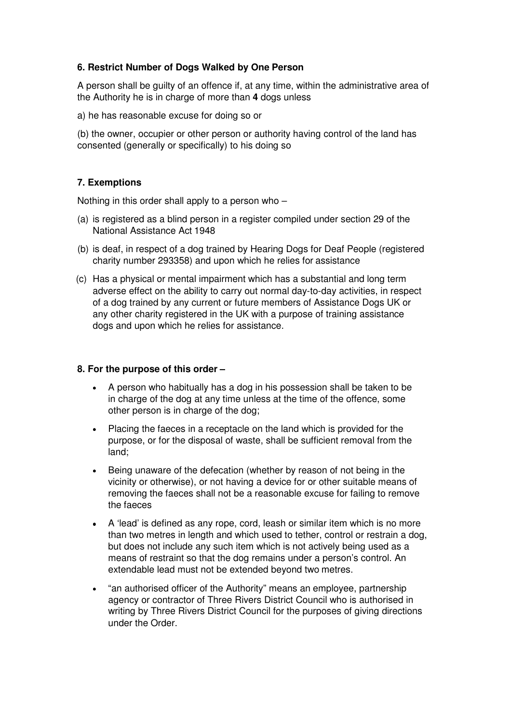# **6. Restrict Number of Dogs Walked by One Person**

A person shall be guilty of an offence if, at any time, within the administrative area of the Authority he is in charge of more than **4** dogs unless

a) he has reasonable excuse for doing so or

(b) the owner, occupier or other person or authority having control of the land has consented (generally or specifically) to his doing so

## **7. Exemptions**

Nothing in this order shall apply to a person who –

- (a) is registered as a blind person in a register compiled under section 29 of the National Assistance Act 1948
- (b) is deaf, in respect of a dog trained by Hearing Dogs for Deaf People (registered charity number 293358) and upon which he relies for assistance
- (c) Has a physical or mental impairment which has a substantial and long term adverse effect on the ability to carry out normal day-to-day activities, in respect of a dog trained by any current or future members of Assistance Dogs UK or any other charity registered in the UK with a purpose of training assistance dogs and upon which he relies for assistance.

#### **8. For the purpose of this order –**

- A person who habitually has a dog in his possession shall be taken to be in charge of the dog at any time unless at the time of the offence, some other person is in charge of the dog;
- Placing the faeces in a receptacle on the land which is provided for the purpose, or for the disposal of waste, shall be sufficient removal from the land;
- Being unaware of the defecation (whether by reason of not being in the vicinity or otherwise), or not having a device for or other suitable means of removing the faeces shall not be a reasonable excuse for failing to remove the faeces
- A 'lead' is defined as any rope, cord, leash or similar item which is no more than two metres in length and which used to tether, control or restrain a dog, but does not include any such item which is not actively being used as a means of restraint so that the dog remains under a person's control. An extendable lead must not be extended beyond two metres.
- "an authorised officer of the Authority" means an employee, partnership agency or contractor of Three Rivers District Council who is authorised in writing by Three Rivers District Council for the purposes of giving directions under the Order.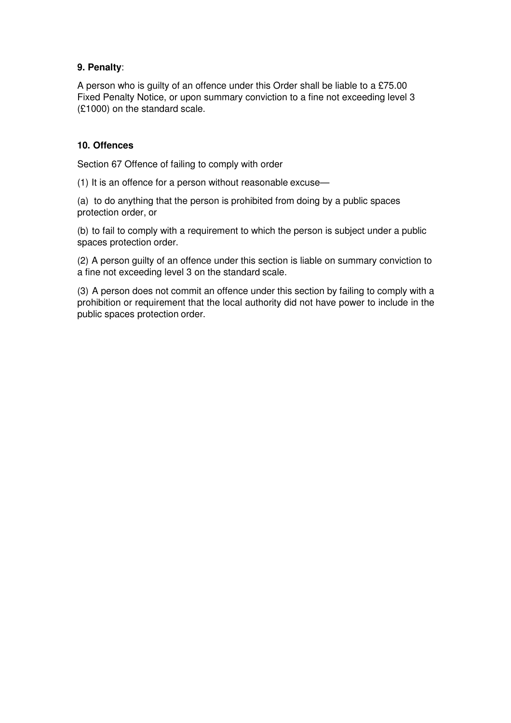# **9. Penalty**:

A person who is guilty of an offence under this Order shall be liable to a £75.00 Fixed Penalty Notice, or upon summary conviction to a fine not exceeding level 3 (£1000) on the standard scale.

# **10. Offences**

Section 67 Offence of failing to comply with order

(1) It is an offence for a person without reasonable excuse—

(a) to do anything that the person is prohibited from doing by a public spaces protection order, or

(b) to fail to comply with a requirement to which the person is subject under a public spaces protection order.

(2) A person guilty of an offence under this section is liable on summary conviction to a fine not exceeding level 3 on the standard scale.

(3) A person does not commit an offence under this section by failing to comply with a prohibition or requirement that the local authority did not have power to include in the public spaces protection order.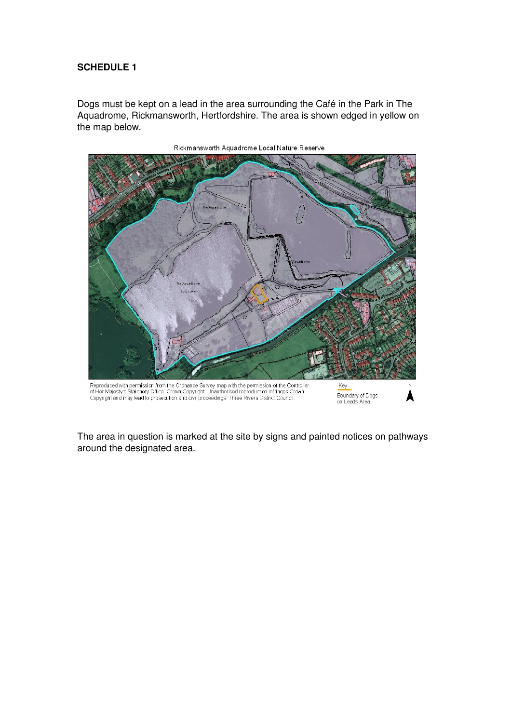# **SCHEDULE 1**

Dogs must be kept on a lead in the area surrounding the Café in the Park in The Aquadrome, Rickmansworth, Hertfordshire. The area is shown edged in yellow on the map below.



Rickmansworth Aquadrome Local Nature Reserve

The area in question is marked at the site by signs and painted notices on pathways around the designated area.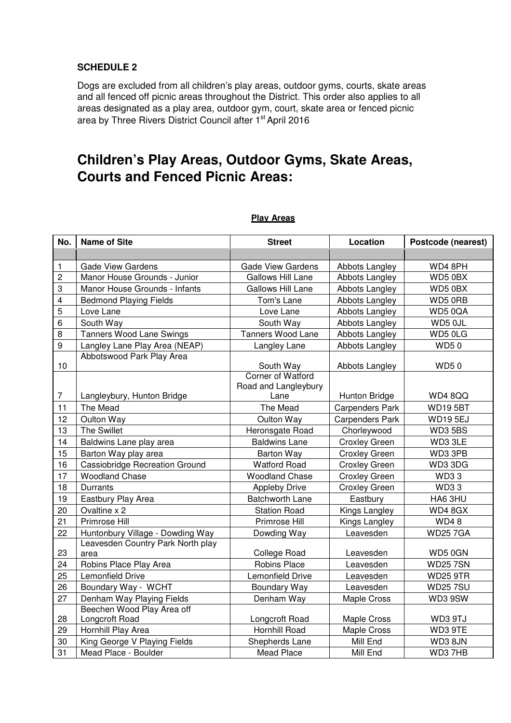# **SCHEDULE 2**

Dogs are excluded from all children's play areas, outdoor gyms, courts, skate areas and all fenced off picnic areas throughout the District. This order also applies to all areas designated as a play area, outdoor gym, court, skate area or fenced picnic area by Three Rivers District Council after 1st April 2016

# **Children's Play Areas, Outdoor Gyms, Skate Areas, Courts and Fenced Picnic Areas:**

| No.            | <b>Name of Site</b>                   | <b>Street</b>                             | Location               | Postcode (nearest) |
|----------------|---------------------------------------|-------------------------------------------|------------------------|--------------------|
|                |                                       |                                           |                        |                    |
| $\mathbf{1}$   | <b>Gade View Gardens</b>              | <b>Gade View Gardens</b>                  | Abbots Langley         | WD4 8PH            |
| $\overline{c}$ | Manor House Grounds - Junior          | Gallows Hill Lane                         | Abbots Langley         | WD50BX             |
| 3              | Manor House Grounds - Infants         | Gallows Hill Lane                         | Abbots Langley         | WD50BX             |
| 4              | <b>Bedmond Playing Fields</b>         | Tom's Lane                                | Abbots Langley         | WD5 0RB            |
| 5              | Love Lane                             | Love Lane                                 | Abbots Langley         | WD50QA             |
| 6              | South Way                             | South Way                                 | Abbots Langley         | WD5 0JL            |
| 8              | <b>Tanners Wood Lane Swings</b>       | Tanners Wood Lane                         | Abbots Langley         | WD5 0LG            |
| 9              | Langley Lane Play Area (NEAP)         | Langley Lane                              | Abbots Langley         | <b>WD50</b>        |
|                | Abbotswood Park Play Area             |                                           |                        |                    |
| 10             |                                       | South Way                                 | Abbots Langley         | <b>WD50</b>        |
|                |                                       | Corner of Watford<br>Road and Langleybury |                        |                    |
| $\overline{7}$ | Langleybury, Hunton Bridge            | Lane                                      | Hunton Bridge          | WD48QQ             |
| 11             | The Mead                              | The Mead                                  | <b>Carpenders Park</b> | <b>WD195BT</b>     |
| 12             | Oulton Way                            | Oulton Way                                | <b>Carpenders Park</b> | <b>WD195EJ</b>     |
| 13             | <b>The Swillet</b>                    | Heronsgate Road                           | Chorleywood            | WD35BS             |
| 14             | Baldwins Lane play area               | <b>Baldwins Lane</b>                      | <b>Croxley Green</b>   | WD3 3LE            |
| 15             | Barton Way play area                  | <b>Barton Way</b>                         | <b>Croxley Green</b>   | WD3 3PB            |
| 16             | <b>Cassiobridge Recreation Ground</b> | <b>Watford Road</b>                       | <b>Croxley Green</b>   | WD33DG             |
| 17             | <b>Woodland Chase</b>                 | <b>Woodland Chase</b>                     | <b>Croxley Green</b>   | <b>WD33</b>        |
| 18             | Durrants                              | <b>Appleby Drive</b>                      | <b>Croxley Green</b>   | <b>WD33</b>        |
| 19             | Eastbury Play Area                    | <b>Batchworth Lane</b>                    | Eastbury               | HA6 3HU            |
| 20             | Ovaltine x 2                          | <b>Station Road</b>                       | Kings Langley          | WD48GX             |
| 21             | Primrose Hill                         | Primrose Hill                             | Kings Langley          | <b>WD48</b>        |
| 22             | Huntonbury Village - Dowding Way      | Dowding Way                               | Leavesden              | <b>WD257GA</b>     |
|                | Leavesden Country Park North play     |                                           |                        |                    |
| 23             | area                                  | College Road                              | Leavesden              | WD5 0GN            |
| 24             | Robins Place Play Area                | Robins Place                              | Leavesden              | <b>WD257SN</b>     |
| 25             | Lemonfield Drive                      | Lemonfield Drive                          | Leavesden              | <b>WD25 9TR</b>    |
| 26             | Boundary Way - WCHT                   | Boundary Way                              | Leavesden              | <b>WD257SU</b>     |
| 27             | Denham Way Playing Fields             | Denham Way                                | Maple Cross            | WD3 9SW            |
|                | Beechen Wood Play Area off            |                                           |                        |                    |
| 28             | Longcroft Road                        | Longcroft Road                            | <b>Maple Cross</b>     | WD3 9TJ            |
| 29             | Hornhill Play Area                    | Hornhill Road                             | <b>Maple Cross</b>     | WD3 9TE            |
| 30             | King George V Playing Fields          | Shepherds Lane                            | Mill End               | WD38JN             |
| 31             | Mead Place - Boulder                  | Mead Place                                | Mill End               | WD37HB             |

### **Play Areas**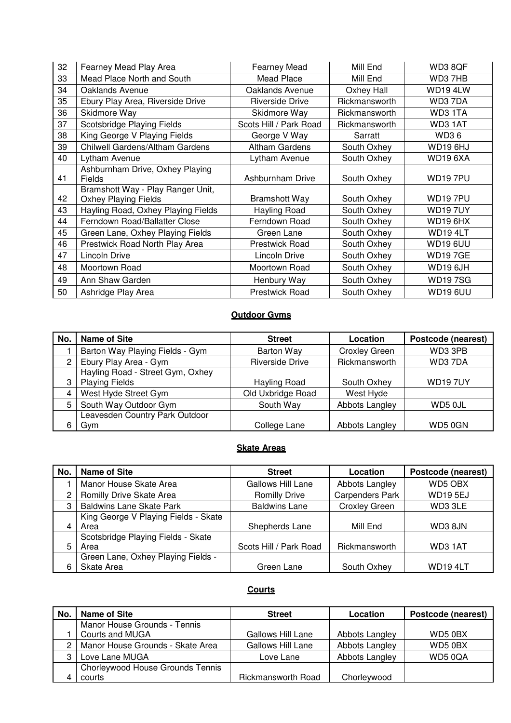| 32 | Fearney Mead Play Area                    | <b>Fearney Mead</b>    | Mill End      | WD38QF          |
|----|-------------------------------------------|------------------------|---------------|-----------------|
| 33 | Mead Place North and South                | Mead Place             | Mill End      | WD37HB          |
| 34 | Oaklands Avenue                           | Oaklands Avenue        | Oxhey Hall    | WD19 4LW        |
| 35 | Ebury Play Area, Riverside Drive          | <b>Riverside Drive</b> | Rickmansworth | WD37DA          |
| 36 | Skidmore Way                              | Skidmore Way           | Rickmansworth | WD3 1TA         |
| 37 | Scotsbridge Playing Fields                | Scots Hill / Park Road | Rickmansworth | WD3 1AT         |
| 38 | King George V Playing Fields              | George V Way           | Sarratt       | <b>WD36</b>     |
| 39 | Chilwell Gardens/Altham Gardens           | <b>Altham Gardens</b>  | South Oxhey   | WD196HJ         |
| 40 | Lytham Avenue                             | Lytham Avenue          | South Oxhey   | <b>WD19 6XA</b> |
| 41 | Ashburnham Drive, Oxhey Playing<br>Fields | Ashburnham Drive       | South Oxhey   | <b>WD197PU</b>  |
|    | Bramshott Way - Play Ranger Unit,         |                        |               |                 |
| 42 | <b>Oxhey Playing Fields</b>               | <b>Bramshott Way</b>   | South Oxhey   | WD197PU         |
| 43 | Hayling Road, Oxhey Playing Fields        | Hayling Road           | South Oxhey   | <b>WD197UY</b>  |
| 44 | Ferndown Road/Ballatter Close             | Ferndown Road          | South Oxhey   | <b>WD19 6HX</b> |
| 45 | Green Lane, Oxhey Playing Fields          | Green Lane             | South Oxhey   | WD194LT         |
| 46 | Prestwick Road North Play Area            | <b>Prestwick Road</b>  | South Oxhey   | WD19 6UU        |
| 47 | Lincoln Drive                             | Lincoln Drive          | South Oxhey   | <b>WD197GE</b>  |
| 48 | Moortown Road                             | Moortown Road          | South Oxhey   | WD19 6JH        |
| 49 | Ann Shaw Garden                           | Henbury Way            | South Oxhey   | <b>WD197SG</b>  |
| 50 | Ashridge Play Area                        | Prestwick Road         | South Oxhey   | WD19 6UU        |

## **Outdoor Gyms**

| No. | <b>Name of Site</b>                                       | <b>Street</b>          | Location             | Postcode (nearest) |
|-----|-----------------------------------------------------------|------------------------|----------------------|--------------------|
|     | Barton Way Playing Fields - Gym                           | <b>Barton Way</b>      | <b>Croxley Green</b> | WD3 3PB            |
| 2   | Ebury Play Area - Gym                                     | <b>Riverside Drive</b> | Rickmansworth        | WD37DA             |
|     | Hayling Road - Street Gym, Oxhey<br><b>Playing Fields</b> | Hayling Road           | South Oxhey          | <b>WD197UY</b>     |
|     | West Hyde Street Gym                                      | Old Uxbridge Road      | West Hyde            |                    |
| 5   | South Way Outdoor Gym                                     | South Way              | Abbots Langley       | WD5 0JL            |
|     | Leavesden Country Park Outdoor<br>Gym                     | College Lane           | Abbots Langley       | WD50GN             |

# **Skate Areas**

| No. | <b>Name of Site</b>                  | <b>Street</b>          | Location               | Postcode (nearest) |
|-----|--------------------------------------|------------------------|------------------------|--------------------|
|     | Manor House Skate Area               | Gallows Hill Lane      | Abbots Langley         | WD5 OBX            |
|     | Romilly Drive Skate Area             | <b>Romilly Drive</b>   | <b>Carpenders Park</b> | <b>WD195EJ</b>     |
| З   | <b>Baldwins Lane Skate Park</b>      | <b>Baldwins Lane</b>   | <b>Croxley Green</b>   | WD33LE             |
|     | King George V Playing Fields - Skate |                        |                        |                    |
|     | Area                                 | Shepherds Lane         | Mill End               | WD3 8JN            |
|     | Scotsbridge Playing Fields - Skate   |                        |                        |                    |
|     | Area                                 | Scots Hill / Park Road | Rickmansworth          | WD3 1AT            |
|     | Green Lane, Oxhey Playing Fields -   |                        |                        |                    |
|     | Skate Area                           | Green Lane             | South Oxhey            | <b>WD194LT</b>     |

# **Courts**

| No. | Name of Site                     | <b>Street</b>             | Location       | Postcode (nearest) |
|-----|----------------------------------|---------------------------|----------------|--------------------|
|     | Manor House Grounds - Tennis     |                           |                |                    |
|     | Courts and MUGA                  | Gallows Hill Lane         | Abbots Langley | WD5 0BX            |
|     | Manor House Grounds - Skate Area | Gallows Hill Lane         | Abbots Langley | WD5 0BX            |
|     | Love Lane MUGA                   | Love Lane                 | Abbots Langley | WD50QA             |
|     | Chorleywood House Grounds Tennis |                           |                |                    |
|     | courts                           | <b>Rickmansworth Road</b> | Chorleywood    |                    |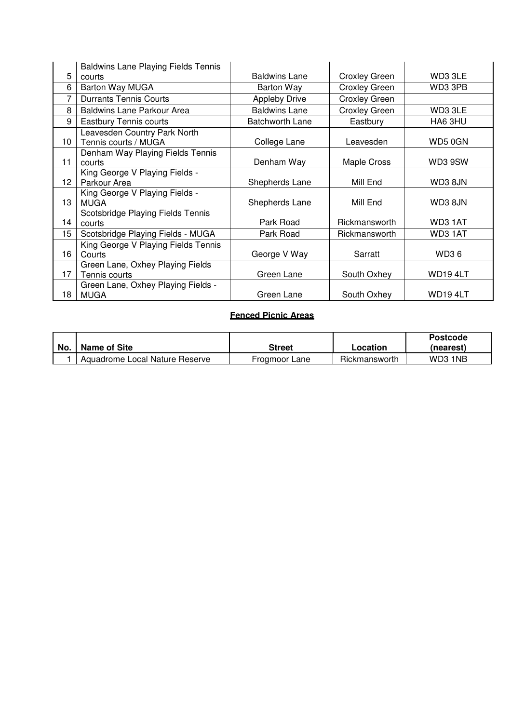|    | <b>Baldwins Lane Playing Fields Tennis</b>           |                        |                      |         |
|----|------------------------------------------------------|------------------------|----------------------|---------|
| 5  | courts                                               | <b>Baldwins Lane</b>   | <b>Croxley Green</b> | WD3 3LE |
| 6  | Barton Way MUGA                                      | Barton Way             | <b>Croxley Green</b> | WD3 3PB |
| 7  | <b>Durrants Tennis Courts</b>                        | <b>Appleby Drive</b>   | <b>Croxley Green</b> |         |
| 8  | <b>Baldwins Lane Parkour Area</b>                    | <b>Baldwins Lane</b>   | Croxley Green        | WD33LE  |
| 9  | <b>Eastbury Tennis courts</b>                        | <b>Batchworth Lane</b> | Eastbury             | HA6 3HU |
| 10 | Leavesden Country Park North<br>Tennis courts / MUGA | College Lane           | Leavesden            | WD50GN  |
| 11 | Denham Way Playing Fields Tennis<br>courts           | Denham Way             | Maple Cross          | WD3 9SW |
| 12 | King George V Playing Fields -<br>Parkour Area       | Shepherds Lane         | Mill End             | WD3 8JN |
| 13 | King George V Playing Fields -<br><b>MUGA</b>        | Shepherds Lane         | Mill End             | WD3 8JN |
| 14 | Scotsbridge Playing Fields Tennis<br>courts          | Park Road              | Rickmansworth        | WD3 1AT |
| 15 | Scotsbridge Playing Fields - MUGA                    | Park Road              | Rickmansworth        | WD3 1AT |
| 16 | King George V Playing Fields Tennis<br>Courts        | George V Way           | Sarratt              | WD36    |
| 17 | Green Lane, Oxhey Playing Fields<br>Tennis courts    | Green Lane             | South Oxhey          | WD194LT |
| 18 | Green Lane, Oxhey Playing Fields -<br><b>MUGA</b>    | Green Lane             | South Oxhey          | WD194LT |

## **Fenced Picnic Areas**

|     |                                |               |               | <b>Postcode</b> |
|-----|--------------------------------|---------------|---------------|-----------------|
| No. | Name of Site                   | Street        | ∟ocation      | (nearest)       |
|     | Aquadrome Local Nature Reserve | Frogmoor Lane | Rickmansworth | WD3 1NB         |